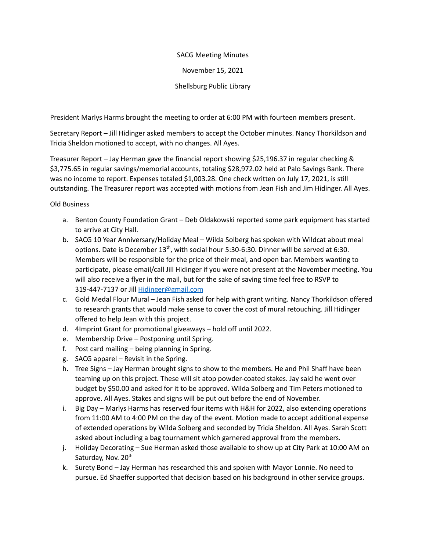## SACG Meeting Minutes

November 15, 2021

Shellsburg Public Library

President Marlys Harms brought the meeting to order at 6:00 PM with fourteen members present.

Secretary Report – Jill Hidinger asked members to accept the October minutes. Nancy Thorkildson and Tricia Sheldon motioned to accept, with no changes. All Ayes.

Treasurer Report – Jay Herman gave the financial report showing \$25,196.37 in regular checking & \$3,775.65 in regular savings/memorial accounts, totaling \$28,972.02 held at Palo Savings Bank. There was no income to report. Expenses totaled \$1,003.28. One check written on July 17, 2021, is still outstanding. The Treasurer report was accepted with motions from Jean Fish and Jim Hidinger. All Ayes.

Old Business

- a. Benton County Foundation Grant Deb Oldakowski reported some park equipment has started to arrive at City Hall.
- b. SACG 10 Year Anniversary/Holiday Meal Wilda Solberg has spoken with Wildcat about meal options. Date is December 13<sup>th</sup>, with social hour 5:30-6:30. Dinner will be served at 6:30. Members will be responsible for the price of their meal, and open bar. Members wanting to participate, please email/call Jill Hidinger if you were not present at the November meeting. You will also receive a flyer in the mail, but for the sake of saving time feel free to RSVP to 319-447-7137 or Jill [Hidinger@gmail.com](mailto:Hidinger@gmail.com)
- c. Gold Medal Flour Mural Jean Fish asked for help with grant writing. Nancy Thorkildson offered to research grants that would make sense to cover the cost of mural retouching. Jill Hidinger offered to help Jean with this project.
- d. 4Imprint Grant for promotional giveaways hold off until 2022.
- e. Membership Drive Postponing until Spring.
- f. Post card mailing being planning in Spring.
- g. SACG apparel Revisit in the Spring.
- h. Tree Signs Jay Herman brought signs to show to the members. He and Phil Shaff have been teaming up on this project. These will sit atop powder-coated stakes. Jay said he went over budget by \$50.00 and asked for it to be approved. Wilda Solberg and Tim Peters motioned to approve. All Ayes. Stakes and signs will be put out before the end of November.
- i. Big Day Marlys Harms has reserved four items with H&H for 2022, also extending operations from 11:00 AM to 4:00 PM on the day of the event. Motion made to accept additional expense of extended operations by Wilda Solberg and seconded by Tricia Sheldon. All Ayes. Sarah Scott asked about including a bag tournament which garnered approval from the members.
- j. Holiday Decorating Sue Herman asked those available to show up at City Park at 10:00 AM on Saturday, Nov. 20<sup>th</sup>
- k. Surety Bond Jay Herman has researched this and spoken with Mayor Lonnie. No need to pursue. Ed Shaeffer supported that decision based on his background in other service groups.